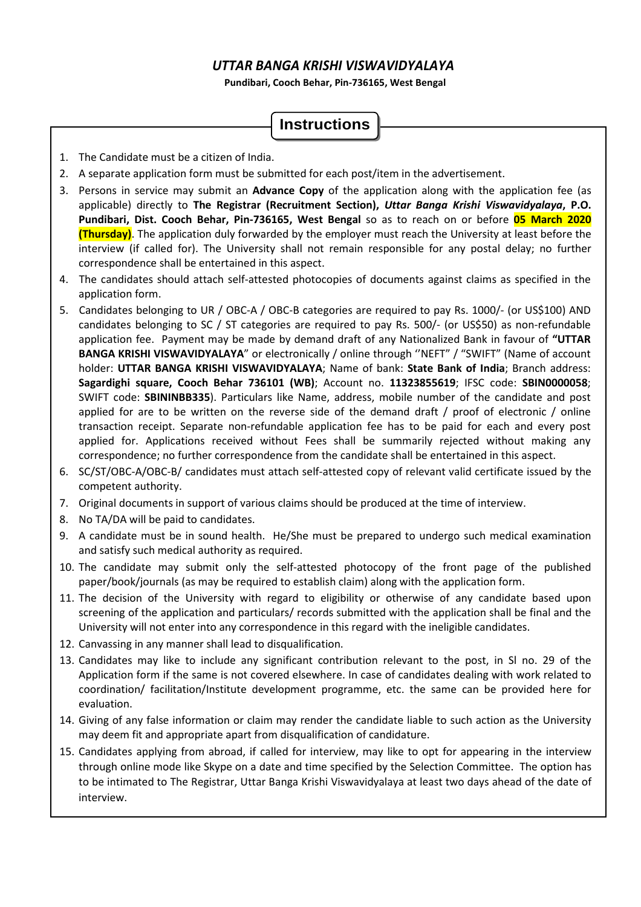# *UTTAR BANGA KRISHI VISWAVIDYALAYA*

**Pundibari, Cooch Behar, Pin-736165, West Bengal** 

# **Instructions**

- 1. The Candidate must be a citizen of India.
- 2. A separate application form must be submitted for each post/item in the advertisement.
- 3. Persons in service may submit an **Advance Copy** of the application along with the application fee (as applicable) directly to **The Registrar (Recruitment Section),** *Uttar Banga Krishi Viswavidyalaya***, P.O. Pundibari, Dist. Cooch Behar, Pin-736165, West Bengal** so as to reach on or before **05 March 2020 (Thursday)**. The application duly forwarded by the employer must reach the University at least before the interview (if called for). The University shall not remain responsible for any postal delay; no further correspondence shall be entertained in this aspect.
- 4. The candidates should attach self-attested photocopies of documents against claims as specified in the application form.
- 5. Candidates belonging to UR / OBC-A / OBC-B categories are required to pay Rs. 1000/- (or US\$100) AND candidates belonging to SC / ST categories are required to pay Rs. 500/- (or US\$50) as non-refundable application fee. Payment may be made by demand draft of any Nationalized Bank in favour of **"UTTAR BANGA KRISHI VISWAVIDYALAYA**" or electronically / online through ''NEFT" / "SWIFT" (Name of account holder: **UTTAR BANGA KRISHI VISWAVIDYALAYA**; Name of bank: **State Bank of India**; Branch address: **Sagardighi square, Cooch Behar 736101 (WB)**; Account no. **11323855619**; IFSC code: **SBIN0000058**; SWIFT code: **SBININBB335**). Particulars like Name, address, mobile number of the candidate and post applied for are to be written on the reverse side of the demand draft / proof of electronic / online transaction receipt. Separate non-refundable application fee has to be paid for each and every post applied for. Applications received without Fees shall be summarily rejected without making any correspondence; no further correspondence from the candidate shall be entertained in this aspect.
- 6. SC/ST/OBC-A/OBC-B/ candidates must attach self-attested copy of relevant valid certificate issued by the competent authority.
- 7. Original documents in support of various claims should be produced at the time of interview.
- 8. No TA/DA will be paid to candidates.
- 9. A candidate must be in sound health. He/She must be prepared to undergo such medical examination and satisfy such medical authority as required.
- 10. The candidate may submit only the self-attested photocopy of the front page of the published paper/book/journals (as may be required to establish claim) along with the application form.
- 11. The decision of the University with regard to eligibility or otherwise of any candidate based upon screening of the application and particulars/ records submitted with the application shall be final and the University will not enter into any correspondence in this regard with the ineligible candidates.
- 12. Canvassing in any manner shall lead to disqualification.
- 13. Candidates may like to include any significant contribution relevant to the post, in Sl no. 29 of the Application form if the same is not covered elsewhere. In case of candidates dealing with work related to coordination/ facilitation/Institute development programme, etc. the same can be provided here for evaluation.
- 14. Giving of any false information or claim may render the candidate liable to such action as the University may deem fit and appropriate apart from disqualification of candidature.
- 15. Candidates applying from abroad, if called for interview, may like to opt for appearing in the interview through online mode like Skype on a date and time specified by the Selection Committee. The option has to be intimated to The Registrar, Uttar Banga Krishi Viswavidyalaya at least two days ahead of the date of interview.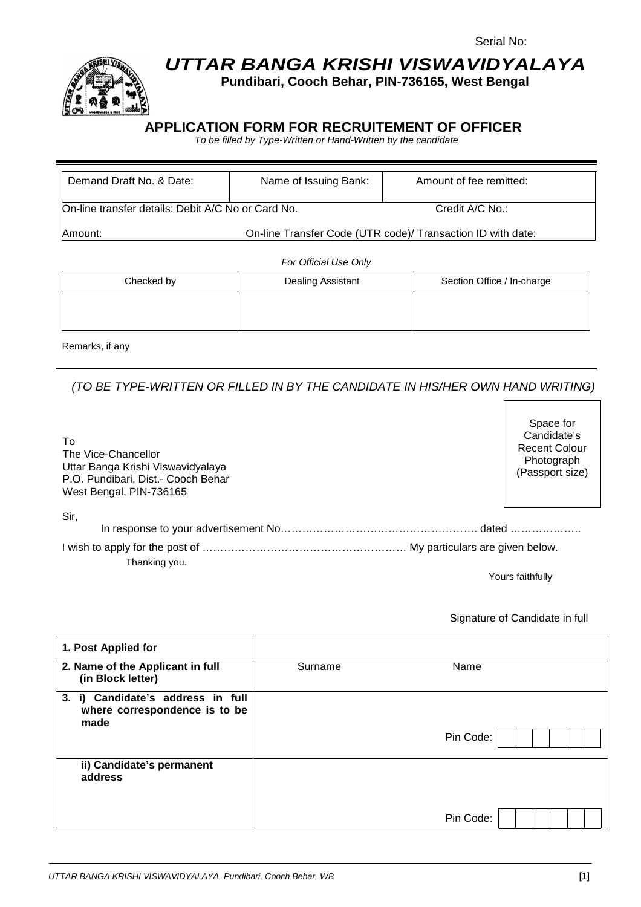

# **UTTAR BANGA KRISHI VISWAVIDYALAYA**

**Pundibari, Cooch Behar, PIN-736165, West Bengal** 

# **APPLICATION FORM FOR RECRUITEMENT OF OFFICER**

To be filled by Type-Written or Hand-Written by the candidate

| Demand Draft No. & Date:                           | Name of Issuing Bank:                                       | Amount of fee remitted:    |  |  |  |  |
|----------------------------------------------------|-------------------------------------------------------------|----------------------------|--|--|--|--|
|                                                    |                                                             |                            |  |  |  |  |
| On-line transfer details: Debit A/C No or Card No. | Credit A/C No.:                                             |                            |  |  |  |  |
| Amount:                                            | On-line Transfer Code (UTR code)/ Transaction ID with date: |                            |  |  |  |  |
|                                                    |                                                             |                            |  |  |  |  |
| For Official Use Only                              |                                                             |                            |  |  |  |  |
| Checked by                                         | Dealing Assistant                                           | Section Office / In-charge |  |  |  |  |

Remarks, if any

(TO BE TYPE-WRITTEN OR FILLED IN BY THE CANDIDATE IN HIS/HER OWN HAND WRITING)

| To<br>The Vice-Chancellor<br>Uttar Banga Krishi Viswavidyalaya<br>P.O. Pundibari, Dist.- Cooch Behar<br>West Bengal, PIN-736165 | Candidate's<br><b>Recent Colour</b><br>Photograph<br>(Passport size) |
|---------------------------------------------------------------------------------------------------------------------------------|----------------------------------------------------------------------|
| Sir,                                                                                                                            |                                                                      |
| Thanking you.                                                                                                                   |                                                                      |

Yours faithfully

Space for

#### Signature of Candidate in full

| 1. Post Applied for                                                        |         |           |
|----------------------------------------------------------------------------|---------|-----------|
| 2. Name of the Applicant in full<br>(in Block letter)                      | Surname | Name      |
| 3. i) Candidate's address in full<br>where correspondence is to be<br>made |         | Pin Code: |
| ii) Candidate's permanent<br>address                                       |         | Pin Code: |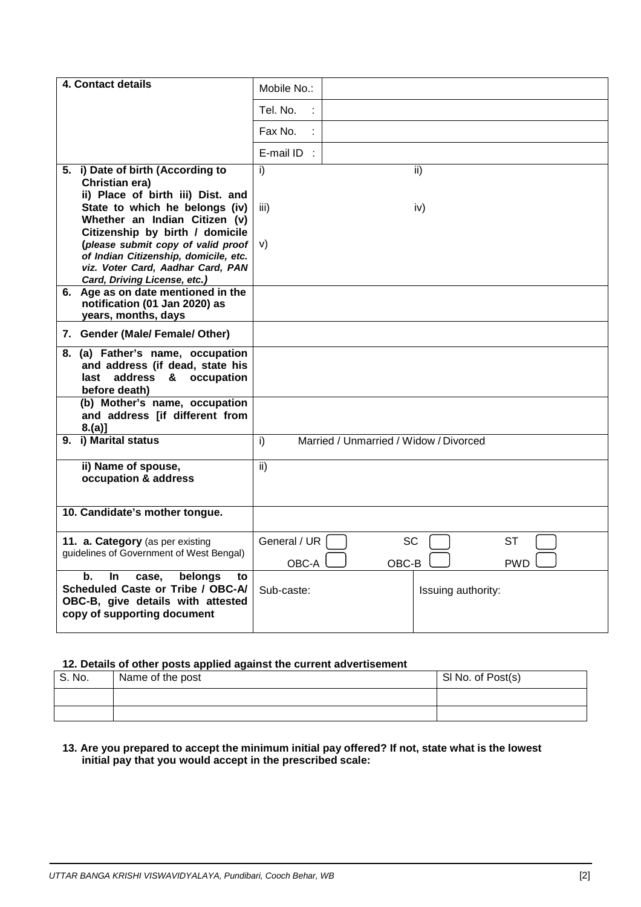| 4. Contact details                                                                                                                           | Mobile No.:                                                            |
|----------------------------------------------------------------------------------------------------------------------------------------------|------------------------------------------------------------------------|
|                                                                                                                                              | Tel. No.                                                               |
|                                                                                                                                              | Fax No.                                                                |
|                                                                                                                                              | E-mail ID :                                                            |
| 5. i) Date of birth (According to<br>Christian era)                                                                                          | i)<br>ii)                                                              |
| ii) Place of birth iii) Dist. and                                                                                                            |                                                                        |
| State to which he belongs (iv)<br>Whether an Indian Citizen (v)                                                                              | iii)<br>iv)                                                            |
| Citizenship by birth / domicile<br>(please submit copy of valid proof                                                                        | V)                                                                     |
| of Indian Citizenship, domicile, etc.<br>viz. Voter Card, Aadhar Card, PAN<br>Card, Driving License, etc.)                                   |                                                                        |
| 6. Age as on date mentioned in the<br>notification (01 Jan 2020) as<br>years, months, days                                                   |                                                                        |
| 7. Gender (Male/ Female/ Other)                                                                                                              |                                                                        |
| 8. (a) Father's name, occupation<br>and address (if dead, state his<br>last address & occupation<br>before death)                            |                                                                        |
| (b) Mother's name, occupation<br>and address [if different from<br>$8.(a)$ ]                                                                 |                                                                        |
| 9. i) Marital status                                                                                                                         | $\overline{1}$<br>Married / Unmarried / Widow / Divorced               |
| ii) Name of spouse,<br>occupation & address                                                                                                  | ii)                                                                    |
| 10. Candidate's mother tongue.                                                                                                               |                                                                        |
| 11. a. Category (as per existing<br>guidelines of Government of West Bengal)                                                                 | General / UR<br><b>SC</b><br><b>ST</b><br>OBC-A<br>OBC-B<br><b>PWD</b> |
| b.<br>belongs<br>In.<br>case,<br>to<br>Scheduled Caste or Tribe / OBC-A/<br>OBC-B, give details with attested<br>copy of supporting document | Sub-caste:<br>Issuing authority:                                       |

## **12. Details of other posts applied against the current advertisement**

| S. No. | Name of the post | SI No. of Post(s) |
|--------|------------------|-------------------|
|        |                  |                   |
|        |                  |                   |

#### **13. Are you prepared to accept the minimum initial pay offered? If not, state what is the lowest initial pay that you would accept in the prescribed scale:**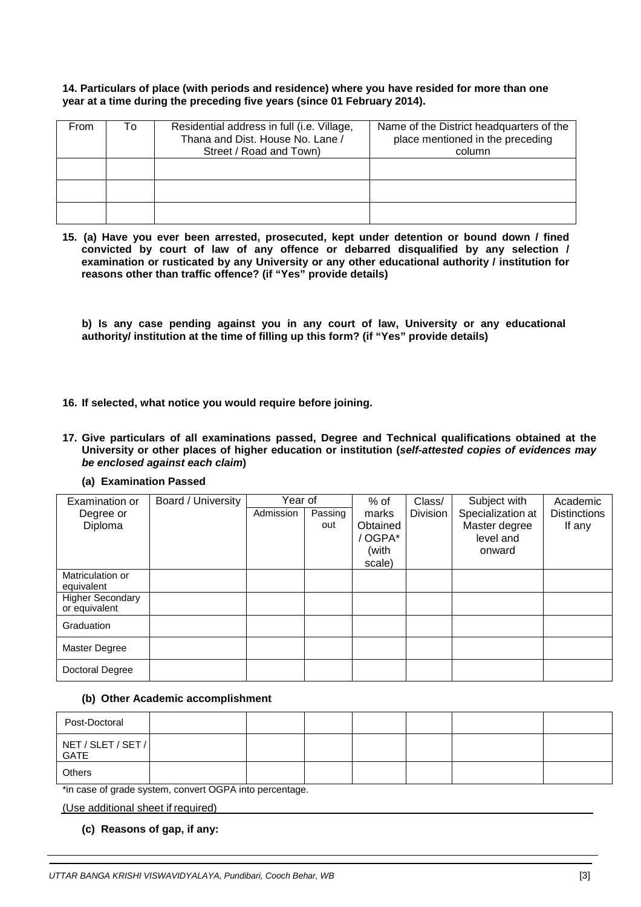#### **14. Particulars of place (with periods and residence) where you have resided for more than one year at a time during the preceding five years (since 01 February 2014).**

| From | То | Residential address in full (i.e. Village,<br>Thana and Dist. House No. Lane /<br>Street / Road and Town) | Name of the District headquarters of the<br>place mentioned in the preceding<br>column |
|------|----|-----------------------------------------------------------------------------------------------------------|----------------------------------------------------------------------------------------|
|      |    |                                                                                                           |                                                                                        |
|      |    |                                                                                                           |                                                                                        |
|      |    |                                                                                                           |                                                                                        |

**15. (a) Have you ever been arrested, prosecuted, kept under detention or bound down / fined convicted by court of law of any offence or debarred disqualified by any selection / examination or rusticated by any University or any other educational authority / institution for reasons other than traffic offence? (if "Yes" provide details)** 

**b) Is any case pending against you in any court of law, University or any educational authority/ institution at the time of filling up this form? (if "Yes" provide details)** 

- **16. If selected, what notice you would require before joining.**
- **17. Give particulars of all examinations passed, Degree and Technical qualifications obtained at the University or other places of higher education or institution (self-attested copies of evidences may be enclosed against each claim)** 
	- **(a) Examination Passed**

| Examination or          | Board / University | Year of   |         | % of     | Class/          | Subject with      | Academic            |
|-------------------------|--------------------|-----------|---------|----------|-----------------|-------------------|---------------------|
| Degree or               |                    | Admission | Passing | marks    | <b>Division</b> | Specialization at | <b>Distinctions</b> |
| Diploma                 |                    |           | out     | Obtained |                 | Master degree     | If any              |
|                         |                    |           |         | / OGPA*  |                 | level and         |                     |
|                         |                    |           |         | (with    |                 | onward            |                     |
|                         |                    |           |         | scale)   |                 |                   |                     |
| Matriculation or        |                    |           |         |          |                 |                   |                     |
| equivalent              |                    |           |         |          |                 |                   |                     |
| <b>Higher Secondary</b> |                    |           |         |          |                 |                   |                     |
| or equivalent           |                    |           |         |          |                 |                   |                     |
| Graduation              |                    |           |         |          |                 |                   |                     |
| <b>Master Degree</b>    |                    |           |         |          |                 |                   |                     |
| Doctoral Degree         |                    |           |         |          |                 |                   |                     |

#### **(b) Other Academic accomplishment**

| Post-Doctoral              |  |  |  |  |
|----------------------------|--|--|--|--|
| NET / SLET / SET /<br>GATE |  |  |  |  |
| Others                     |  |  |  |  |

\*in case of grade system, convert OGPA into percentage.

(Use additional sheet if required)

**(c) Reasons of gap, if any:**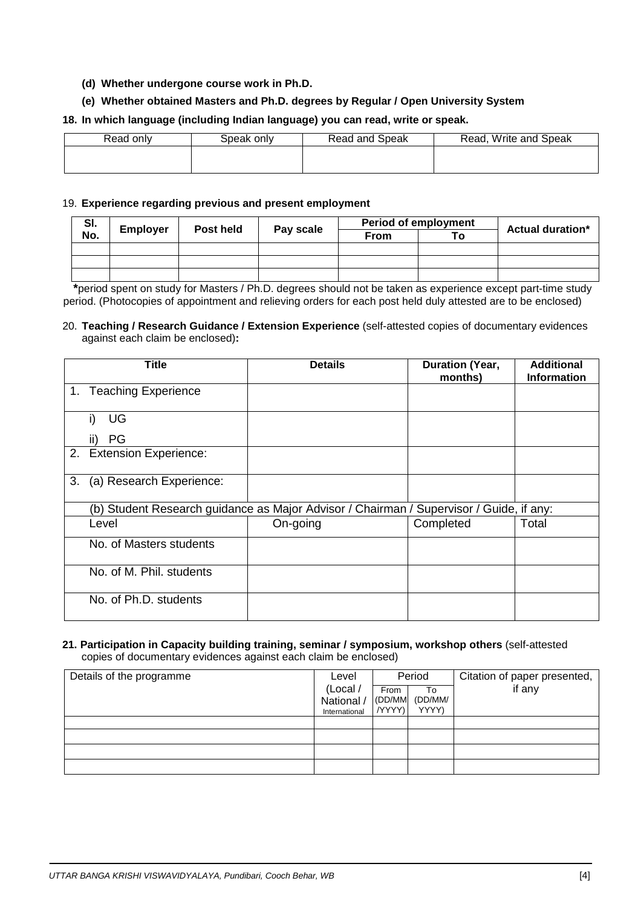## **(d) Whether undergone course work in Ph.D.**

## **(e) Whether obtained Masters and Ph.D. degrees by Regular / Open University System**

## **18. In which language (including Indian language) you can read, write or speak.**

| Read only | Speak onlv | Read and Speak | Read, Write and Speak |
|-----------|------------|----------------|-----------------------|
|           |            |                |                       |
|           |            |                |                       |

#### 19. **Experience regarding previous and present employment**

| SI. |          | Post held |           |             | <b>Period of employment</b> | <b>Actual duration*</b> |
|-----|----------|-----------|-----------|-------------|-----------------------------|-------------------------|
| No. | Employer |           | Pay scale | <b>From</b> |                             |                         |
|     |          |           |           |             |                             |                         |
|     |          |           |           |             |                             |                         |
|     |          |           |           |             |                             |                         |

 **\***period spent on study for Masters / Ph.D. degrees should not be taken as experience except part-time study period. (Photocopies of appointment and relieving orders for each post held duly attested are to be enclosed)

#### 20. **Teaching / Research Guidance / Extension Experience** (self-attested copies of documentary evidences against each claim be enclosed)**:**

|    | Title                    | <b>Details</b>                                                                          | Duration (Year,<br>months) | <b>Additional</b><br><b>Information</b> |
|----|--------------------------|-----------------------------------------------------------------------------------------|----------------------------|-----------------------------------------|
|    | 1. Teaching Experience   |                                                                                         |                            |                                         |
|    | UG                       |                                                                                         |                            |                                         |
|    | PG                       |                                                                                         |                            |                                         |
|    | 2. Extension Experience: |                                                                                         |                            |                                         |
| 3. | (a) Research Experience: |                                                                                         |                            |                                         |
|    |                          | (b) Student Research guidance as Major Advisor / Chairman / Supervisor / Guide, if any: |                            |                                         |
|    | Level                    | On-going                                                                                | Completed                  | Total                                   |
|    | No. of Masters students  |                                                                                         |                            |                                         |
|    | No. of M. Phil. students |                                                                                         |                            |                                         |
|    | No. of Ph.D. students    |                                                                                         |                            |                                         |

#### **21. Participation in Capacity building training, seminar / symposium, workshop others** (self-attested copies of documentary evidences against each claim be enclosed)

| Details of the programme | Level         | Period |         | Citation of paper presented, |
|--------------------------|---------------|--------|---------|------------------------------|
|                          | (Local /      | From   | To      | if any                       |
|                          | National /    | (DD/MM | (DD/MM/ |                              |
|                          | International | /YYYY) | YYYY)   |                              |
|                          |               |        |         |                              |
|                          |               |        |         |                              |
|                          |               |        |         |                              |
|                          |               |        |         |                              |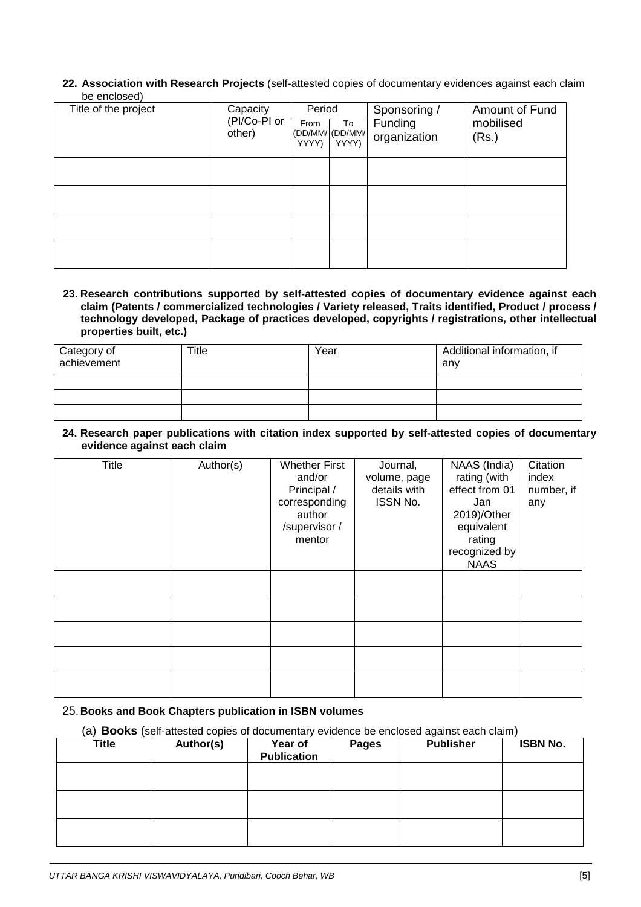**22. Association with Research Projects** (self-attested copies of documentary evidences against each claim be enclosed)

| Title of the project | Capacity<br>(PI/Co-PI or<br>other) | Period<br>From<br>YYYY) | To<br>(DD/MM/ (DD/MM/<br>YYYY) | Sponsoring /<br>Funding<br>organization | Amount of Fund<br>mobilised<br>(Rs.) |
|----------------------|------------------------------------|-------------------------|--------------------------------|-----------------------------------------|--------------------------------------|
|                      |                                    |                         |                                |                                         |                                      |
|                      |                                    |                         |                                |                                         |                                      |
|                      |                                    |                         |                                |                                         |                                      |
|                      |                                    |                         |                                |                                         |                                      |

**23. Research contributions supported by self-attested copies of documentary evidence against each claim (Patents / commercialized technologies / Variety released, Traits identified, Product / process / technology developed, Package of practices developed, copyrights / registrations, other intellectual properties built, etc.)** 

| Category of<br>achievement | Title | Year | Additional information, if<br>anv |
|----------------------------|-------|------|-----------------------------------|
|                            |       |      |                                   |
|                            |       |      |                                   |
|                            |       |      |                                   |

**24. Research paper publications with citation index supported by self-attested copies of documentary evidence against each claim** 

| <b>Title</b> | Author(s) | <b>Whether First</b><br>and/or<br>Principal /<br>corresponding<br>author<br>/supervisor /<br>mentor | Journal,<br>volume, page<br>details with<br>ISSN No. | NAAS (India)<br>rating (with<br>effect from 01<br>Jan<br>2019)/Other<br>equivalent<br>rating<br>recognized by<br><b>NAAS</b> | Citation<br>index<br>number, if<br>any |
|--------------|-----------|-----------------------------------------------------------------------------------------------------|------------------------------------------------------|------------------------------------------------------------------------------------------------------------------------------|----------------------------------------|
|              |           |                                                                                                     |                                                      |                                                                                                                              |                                        |
|              |           |                                                                                                     |                                                      |                                                                                                                              |                                        |
|              |           |                                                                                                     |                                                      |                                                                                                                              |                                        |
|              |           |                                                                                                     |                                                      |                                                                                                                              |                                        |
|              |           |                                                                                                     |                                                      |                                                                                                                              |                                        |

#### 25. **Books and Book Chapters publication in ISBN volumes**

(a) **Books** (self-attested copies of documentary evidence be enclosed against each claim)

| <b>Title</b> | Author(s) | Year of<br><b>Publication</b> | <b>Pages</b> | <b>Publisher</b> | <b>ISBN No.</b> |
|--------------|-----------|-------------------------------|--------------|------------------|-----------------|
|              |           |                               |              |                  |                 |
|              |           |                               |              |                  |                 |
|              |           |                               |              |                  |                 |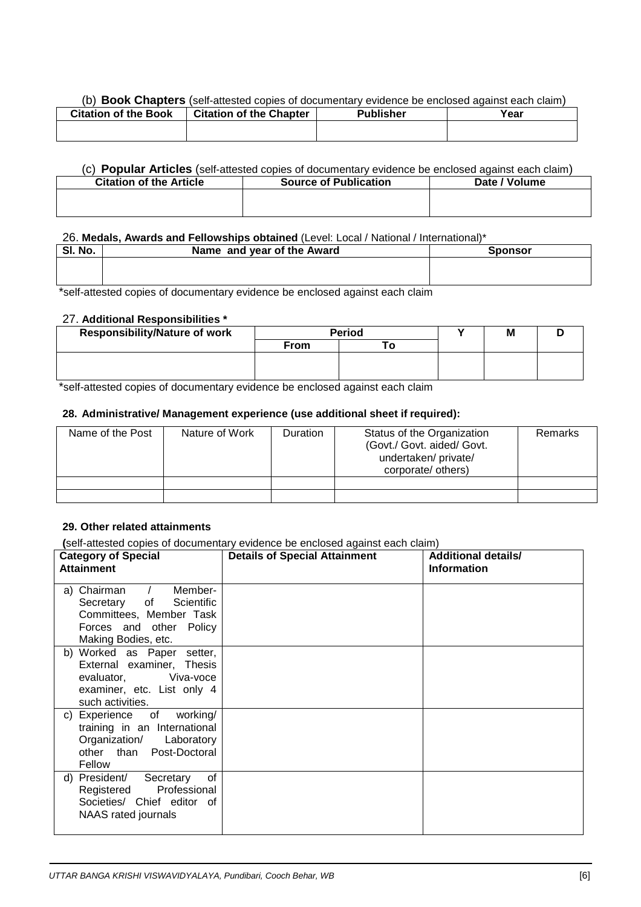#### (b) **Book Chapters** (self-attested copies of documentary evidence be enclosed against each claim)

| <b>Citation of the Book</b> | <b>Citation of the Chapter</b> | <b>Publisher</b> | Year |
|-----------------------------|--------------------------------|------------------|------|
|                             |                                |                  |      |
|                             |                                |                  |      |

#### (c) **Popular Articles** (self-attested copies of documentary evidence be enclosed against each claim)

| <b>Citation of the Article</b> | <b>Source of Publication</b> | Date / Volume |
|--------------------------------|------------------------------|---------------|
|                                |                              |               |
|                                |                              |               |

## 26. **Medals, Awards and Fellowships obtained** (Level: Local / National / International)\*

| SI. No. | Name and year of the Award | <b>Sponsor</b> |
|---------|----------------------------|----------------|
|         |                            |                |
|         |                            |                |

\*self-attested copies of documentary evidence be enclosed against each claim

# 27. **Additional Responsibilities \***

| <b>Responsibility/Nature of work</b> | <b>Period</b> |  | M |  |
|--------------------------------------|---------------|--|---|--|
|                                      | <b>From</b>   |  |   |  |
|                                      |               |  |   |  |
|                                      |               |  |   |  |

\*self-attested copies of documentary evidence be enclosed against each claim

#### **28. Administrative/ Management experience (use additional sheet if required):**

| Name of the Post | Nature of Work | <b>Duration</b> | Status of the Organization<br>(Govt./ Govt. aided/ Govt.<br>undertaken/ private/<br>corporate/ others) | <b>Remarks</b> |
|------------------|----------------|-----------------|--------------------------------------------------------------------------------------------------------|----------------|
|                  |                |                 |                                                                                                        |                |
|                  |                |                 |                                                                                                        |                |

#### **29. Other related attainments**

**(**self-attested copies of documentary evidence be enclosed against each claim)

| <b>Category of Special</b><br><b>Attainment</b>                                                                                   | son allocloa copico or accamentary criaditos so criciocoa againel caen ciamit<br><b>Details of Special Attainment</b> | <b>Additional details/</b><br><b>Information</b> |
|-----------------------------------------------------------------------------------------------------------------------------------|-----------------------------------------------------------------------------------------------------------------------|--------------------------------------------------|
| a) Chairman / Member-<br>Secretary of Scientific<br>Committees, Member Task<br>Forces and other Policy<br>Making Bodies, etc.     |                                                                                                                       |                                                  |
| b) Worked as Paper setter,<br>External examiner, Thesis<br>evaluator. Viva-voce<br>examiner, etc. List only 4<br>such activities. |                                                                                                                       |                                                  |
| c) Experience of working/<br>training in an International<br>Organization/ Laboratory<br>other than Post-Doctoral<br>Fellow       |                                                                                                                       |                                                  |
| d) President/ Secretary<br>of<br>Registered Professional<br>Societies/ Chief editor of<br>NAAS rated journals                     |                                                                                                                       |                                                  |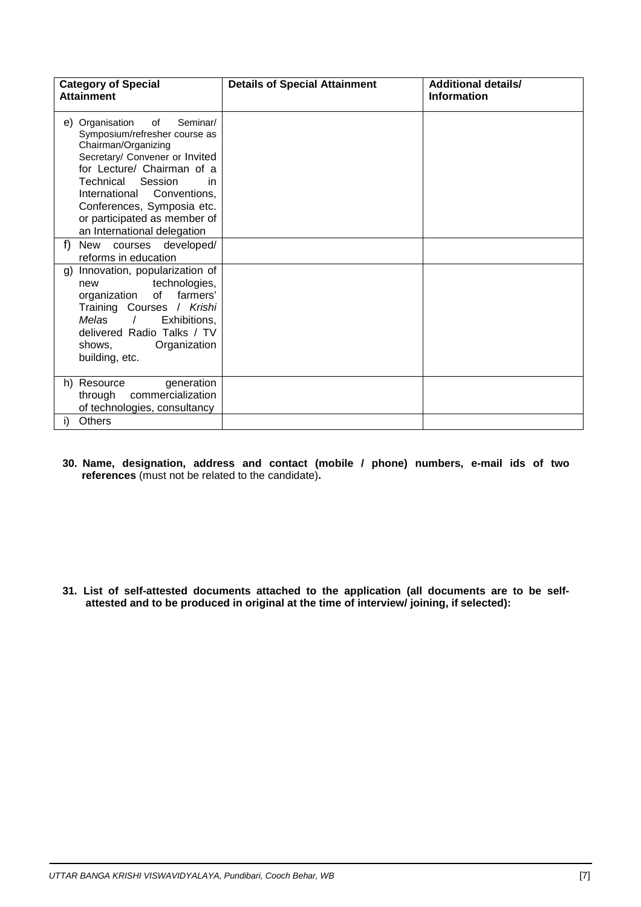| <b>Category of Special</b><br><b>Attainment</b>                                                                                                                                                                                                                                                                    | <b>Details of Special Attainment</b> | <b>Additional details/</b><br><b>Information</b> |
|--------------------------------------------------------------------------------------------------------------------------------------------------------------------------------------------------------------------------------------------------------------------------------------------------------------------|--------------------------------------|--------------------------------------------------|
| e) Organisation<br>Seminar/<br>of<br>Symposium/refresher course as<br>Chairman/Organizing<br>Secretary/ Convener or Invited<br>for Lecture/ Chairman of a<br>Technical<br>Session<br>in<br>International Conventions,<br>Conferences, Symposia etc.<br>or participated as member of<br>an International delegation |                                      |                                                  |
| f<br>courses developed/<br>New<br>reforms in education                                                                                                                                                                                                                                                             |                                      |                                                  |
| Innovation, popularization of<br>$\mathfrak{g}$<br>technologies,<br>new<br>of<br>farmers'<br>organization<br>Training Courses / Krishi<br><b>Melas</b><br>Exhibitions,<br>$\prime$<br>delivered Radio Talks / TV<br>shows,<br>Organization<br>building, etc.                                                       |                                      |                                                  |
| h) Resource<br>generation<br>commercialization<br>through<br>of technologies, consultancy                                                                                                                                                                                                                          |                                      |                                                  |
| <b>Others</b>                                                                                                                                                                                                                                                                                                      |                                      |                                                  |

**30. Name, designation, address and contact (mobile / phone) numbers, e-mail ids of two references** (must not be related to the candidate)**.** 

**31. List of self-attested documents attached to the application (all documents are to be selfattested and to be produced in original at the time of interview/ joining, if selected):**